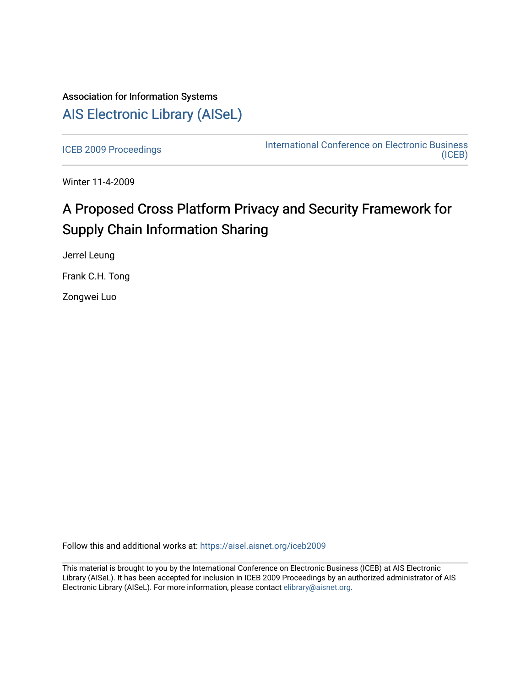# Association for Information Systems [AIS Electronic Library \(AISeL\)](https://aisel.aisnet.org/)

[ICEB 2009 Proceedings](https://aisel.aisnet.org/iceb2009) **International Conference on Electronic Business** [\(ICEB\)](https://aisel.aisnet.org/iceb) 

Winter 11-4-2009

# A Proposed Cross Platform Privacy and Security Framework for Supply Chain Information Sharing

Jerrel Leung

Frank C.H. Tong

Zongwei Luo

Follow this and additional works at: [https://aisel.aisnet.org/iceb2009](https://aisel.aisnet.org/iceb2009?utm_source=aisel.aisnet.org%2Ficeb2009%2F87&utm_medium=PDF&utm_campaign=PDFCoverPages)

This material is brought to you by the International Conference on Electronic Business (ICEB) at AIS Electronic Library (AISeL). It has been accepted for inclusion in ICEB 2009 Proceedings by an authorized administrator of AIS Electronic Library (AISeL). For more information, please contact [elibrary@aisnet.org.](mailto:elibrary@aisnet.org%3E)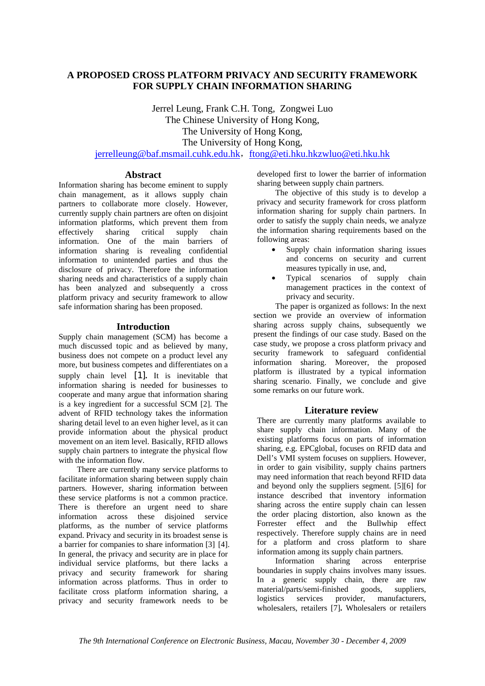# **A PROPOSED CROSS PLATFORM PRIVACY AND SECURITY FRAMEWORK FOR SUPPLY CHAIN INFORMATION SHARING**

Jerrel Leung, Frank C.H. Tong, Zongwei Luo The Chinese University of Hong Kong, The University of Hong Kong, The University of Hong Kong, jerrelleung@baf.msmail.cuhk.edu.hk, ftong@eti.hku.hkzwluo@eti.hku.hk

# **Abstract**

Information sharing has become eminent to supply chain management, as it allows supply chain partners to collaborate more closely. However, currently supply chain partners are often on disjoint information platforms, which prevent them from effectively sharing critical supply chain information. One of the main barriers of information sharing is revealing confidential information to unintended parties and thus the disclosure of privacy. Therefore the information sharing needs and characteristics of a supply chain has been analyzed and subsequently a cross platform privacy and security framework to allow safe information sharing has been proposed.

## **Introduction**

Supply chain management (SCM) has become a much discussed topic and as believed by many, business does not compete on a product level any more, but business competes and differentiates on a supply chain level [1]**.** It is inevitable that information sharing is needed for businesses to cooperate and many argue that information sharing is a key ingredient for a successful SCM [2]. The advent of RFID technology takes the information sharing detail level to an even higher level, as it can provide information about the physical product movement on an item level. Basically, RFID allows supply chain partners to integrate the physical flow with the information flow.

There are currently many service platforms to facilitate information sharing between supply chain partners. However, sharing information between these service platforms is not a common practice. There is therefore an urgent need to share information across these disjoined service platforms, as the number of service platforms expand. Privacy and security in its broadest sense is a barrier for companies to share information [3] [4]. In general, the privacy and security are in place for individual service platforms, but there lacks a privacy and security framework for sharing information across platforms. Thus in order to facilitate cross platform information sharing, a privacy and security framework needs to be

developed first to lower the barrier of information sharing between supply chain partners.

The objective of this study is to develop a privacy and security framework for cross platform information sharing for supply chain partners. In order to satisfy the supply chain needs, we analyze the information sharing requirements based on the following areas:

- Supply chain information sharing issues and concerns on security and current measures typically in use, and,
- Typical scenarios of supply chain management practices in the context of privacy and security.

The paper is organized as follows: In the next section we provide an overview of information sharing across supply chains, subsequently we present the findings of our case study. Based on the case study, we propose a cross platform privacy and security framework to safeguard confidential information sharing. Moreover, the proposed platform is illustrated by a typical information sharing scenario. Finally, we conclude and give some remarks on our future work.

# **Literature review**

There are currently many platforms available to share supply chain information. Many of the existing platforms focus on parts of information sharing, e.g. EPCglobal, focuses on RFID data and Dell's VMI system focuses on suppliers. However, in order to gain visibility, supply chains partners may need information that reach beyond RFID data and beyond only the suppliers segment. [5][6] for instance described that inventory information sharing across the entire supply chain can lessen the order placing distortion, also known as the Forrester effect and the Bullwhip effect respectively. Therefore supply chains are in need for a platform and cross platform to share information among its supply chain partners.

Information sharing across enterprise boundaries in supply chains involves many issues. In a generic supply chain, there are raw material/parts/semi-finished goods, suppliers, logistics services provider, manufacturers, wholesalers, retailers [7]**.** Wholesalers or retailers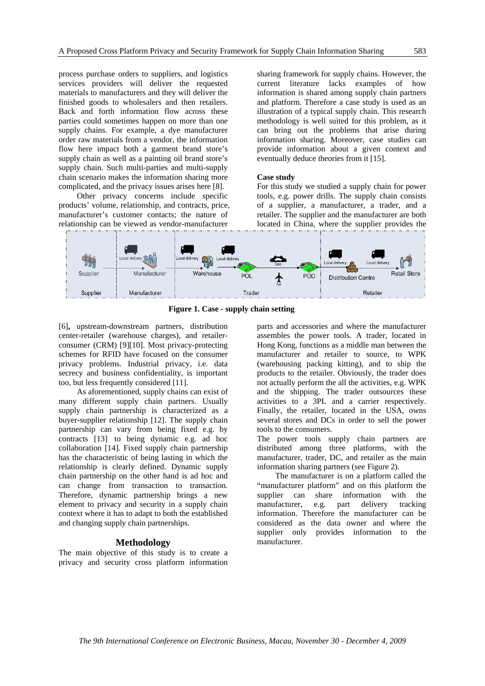process purchase orders to suppliers, and logistics services providers will deliver the requested materials to manufacturers and they will deliver the finished goods to wholesalers and then retailers. Back and forth information flow across these parties could sometimes happen on more than one supply chains. For example, a dye manufacturer order raw materials from a vendor, the information flow here impact both a garment brand store's supply chain as well as a painting oil brand store's supply chain. Such multi-parties and multi-supply chain scenario makes the information sharing more complicated, and the privacy issues arises here [8].

Other privacy concerns include specific products' volume, relationship, and contracts, price, manufacturer's customer contacts; the nature of relationship can be viewed as vendor-manufacturer

sharing framework for supply chains. However, the current literature lacks examples of how information is shared among supply chain partners and platform. Therefore a case study is used as an illustration of a typical supply chain. This research methodology is well suited for this problem, as it can bring out the problems that arise during information sharing. Moreover, case studies can provide information about a given context and eventually deduce theories from it [15].

#### **Case study**

For this study we studied a supply chain for power tools, e.g. power drills. The supply chain consists of a supplier, a manufacturer, a trader, and a retailer. The supplier and the manufacturer are both located in China, where the supplier provides the



**Figure 1. Case - supply chain setting**

[6]**,** upstream-downstream partners, distribution center-retailer (warehouse charges), and retailerconsumer (CRM) [9][10]. Most privacy-protecting schemes for RFID have focused on the consumer privacy problems. Industrial privacy, i.e. data secrecy and business confidentiality, is important too, but less frequently considered [11].

As aforementioned, supply chains can exist of many different supply chain partners. Usually supply chain partnership is characterized as a buyer-supplier relationship [12]. The supply chain partnership can vary from being fixed e.g. by contracts [13] to being dynamic e.g. ad hoc collaboration [14]. Fixed supply chain partnership has the characteristic of being lasting in which the relationship is clearly defined. Dynamic supply chain partnership on the other hand is ad hoc and can change from transaction to transaction. Therefore, dynamic partnership brings a new element to privacy and security in a supply chain context where it has to adapt to both the established and changing supply chain partnerships.

#### **Methodology**

The main objective of this study is to create a privacy and security cross platform information parts and accessories and where the manufacturer assembles the power tools. A trader, located in Hong Kong, functions as a middle man between the manufacturer and retailer to source, to WPK (warehousing packing kitting), and to ship the products to the retailer. Obviously, the trader does not actually perform the all the activities, e.g. WPK and the shipping. The trader outsources these activities to a 3PL and a carrier respectively. Finally, the retailer, located in the USA, owns several stores and DCs in order to sell the power tools to the consumers.

The power tools supply chain partners are distributed among three platforms, with the manufacturer, trader, DC, and retailer as the main information sharing partners (see Figure 2).

The manufacturer is on a platform called the "manufacturer platform" and on this platform the supplier can share information with the manufacturer, e.g. part delivery tracking information. Therefore the manufacturer can be considered as the data owner and where the supplier only provides information to the manufacturer.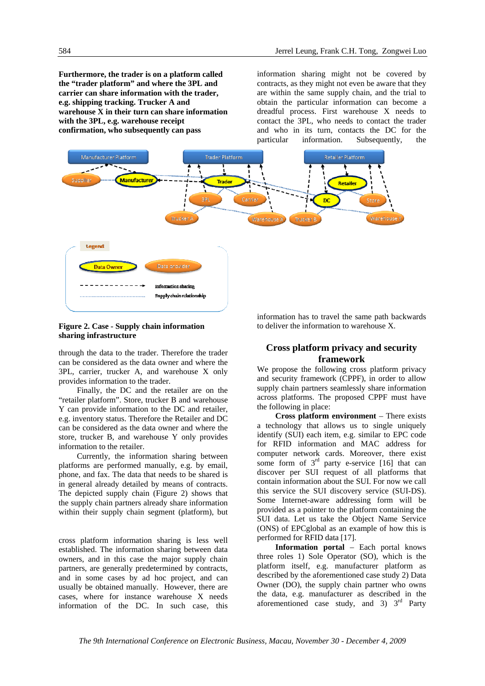**Furthermore, the trader is on a platform called the "trader platform" and where the 3PL and carrier can share information with the trader, e.g. shipping tracking. Trucker A and warehouse X in their turn can share information with the 3PL, e.g. warehouse receipt confirmation, who subsequently can pass** 

information sharing might not be covered by contracts, as they might not even be aware that they are within the same supply chain, and the trial to obtain the particular information can become a dreadful process. First warehouse X needs to contact the 3PL, who needs to contact the trader and who in its turn, contacts the DC for the particular information. Subsequently, the



**Figure 2. Case - Supply chain information sharing infrastructure** 

through the data to the trader. Therefore the trader can be considered as the data owner and where the 3PL, carrier, trucker A, and warehouse X only provides information to the trader.

Finally, the DC and the retailer are on the "retailer platform". Store, trucker B and warehouse Y can provide information to the DC and retailer, e.g. inventory status. Therefore the Retailer and DC can be considered as the data owner and where the store, trucker B, and warehouse Y only provides information to the retailer.

Currently, the information sharing between platforms are performed manually, e.g. by email, phone, and fax. The data that needs to be shared is in general already detailed by means of contracts. The depicted supply chain (Figure 2) shows that the supply chain partners already share information within their supply chain segment (platform), but

cross platform information sharing is less well established. The information sharing between data owners, and in this case the major supply chain partners, are generally predetermined by contracts, and in some cases by ad hoc project, and can usually be obtained manually. However, there are cases, where for instance warehouse X needs information of the DC. In such case, this

information has to travel the same path backwards to deliver the information to warehouse X.

# **Cross platform privacy and security framework**

We propose the following cross platform privacy and security framework (CPPF), in order to allow supply chain partners seamlessly share information across platforms. The proposed CPPF must have the following in place:

**Cross platform environment** – There exists a technology that allows us to single uniquely identify (SUI) each item, e.g. similar to EPC code for RFID information and MAC address for computer network cards. Moreover, there exist some form of  $3<sup>rd</sup>$  party e-service [16] that can discover per SUI request of all platforms that contain information about the SUI. For now we call this service the SUI discovery service (SUI-DS). Some Internet-aware addressing form will be provided as a pointer to the platform containing the SUI data. Let us take the Object Name Service (ONS) of EPCglobal as an example of how this is performed for RFID data [17].

**Information portal** – Each portal knows three roles 1) Sole Operator (SO), which is the platform itself, e.g. manufacturer platform as described by the aforementioned case study 2) Data Owner (DO), the supply chain partner who owns the data, e.g. manufacturer as described in the aforementioned case study, and  $3$ )  $3^{rd}$  Party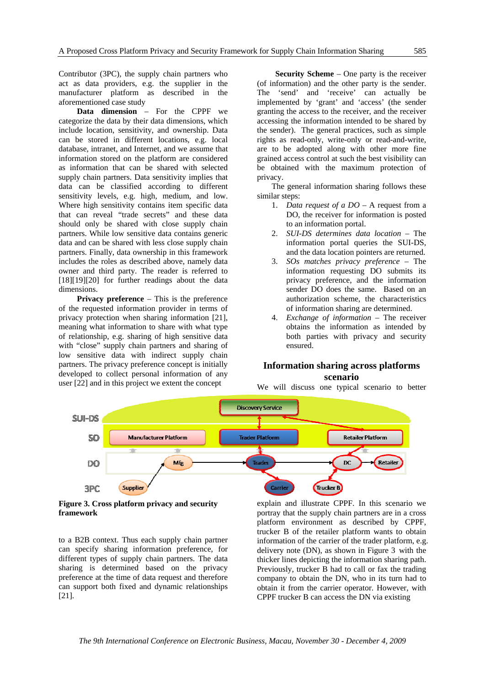Contributor (3PC), the supply chain partners who act as data providers, e.g. the supplier in the manufacturer platform as described in the aforementioned case study

**Data dimension** – For the CPPF we categorize the data by their data dimensions, which include location, sensitivity, and ownership. Data can be stored in different locations, e.g. local database, intranet, and Internet, and we assume that information stored on the platform are considered as information that can be shared with selected supply chain partners. Data sensitivity implies that data can be classified according to different sensitivity levels, e.g. high, medium, and low. Where high sensitivity contains item specific data that can reveal "trade secrets" and these data should only be shared with close supply chain partners. While low sensitive data contains generic data and can be shared with less close supply chain partners. Finally, data ownership in this framework includes the roles as described above, namely data owner and third party. The reader is referred to [18][19][20] for further readings about the data dimensions.

**Privacy preference** – This is the preference of the requested information provider in terms of privacy protection when sharing information [21], meaning what information to share with what type of relationship, e.g. sharing of high sensitive data with "close" supply chain partners and sharing of low sensitive data with indirect supply chain partners. The privacy preference concept is initially developed to collect personal information of any user [22] and in this project we extent the concept

**Security Scheme** – One party is the receiver (of information) and the other party is the sender. The 'send' and 'receive' can actually be implemented by 'grant' and 'access' (the sender granting the access to the receiver, and the receiver accessing the information intended to be shared by the sender). The general practices, such as simple rights as read-only, write-only or read-and-write, are to be adopted along with other more fine grained access control at such the best visibility can be obtained with the maximum protection of privacy.

The general information sharing follows these similar steps:

- 1. *Data request of a DO –* A request from a DO, the receiver for information is posted to an information portal.
- 2. *SUI-DS determines data location –* The information portal queries the SUI-DS, and the data location pointers are returned.
- 3. *SOs matches privacy preference –* The information requesting DO submits its privacy preference, and the information sender DO does the same. Based on an authorization scheme, the characteristics of information sharing are determined.
- 4. *Exchange of information –* The receiver obtains the information as intended by both parties with privacy and security ensured.

## **Information sharing across platforms scenario**

We will discuss one typical scenario to better



**Figure 3. Cross platform privacy and security framework** 

to a B2B context. Thus each supply chain partner can specify sharing information preference, for different types of supply chain partners. The data sharing is determined based on the privacy preference at the time of data request and therefore can support both fixed and dynamic relationships [21].

explain and illustrate CPPF. In this scenario we portray that the supply chain partners are in a cross platform environment as described by CPPF, trucker B of the retailer platform wants to obtain information of the carrier of the trader platform, e.g. delivery note (DN), as shown in Figure 3 with the thicker lines depicting the information sharing path. Previously, trucker B had to call or fax the trading company to obtain the DN, who in its turn had to obtain it from the carrier operator. However, with CPPF trucker B can access the DN via existing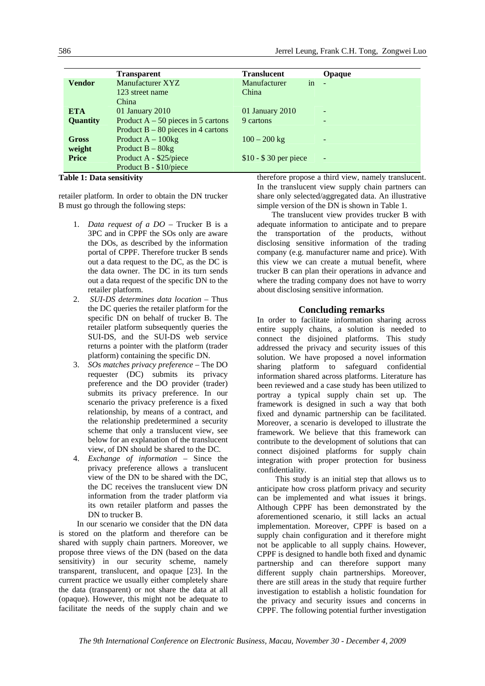|                 | <b>Transparent</b>                   | <b>Translucent</b>    | Opaque |
|-----------------|--------------------------------------|-----------------------|--------|
| <b>Vendor</b>   | Manufacturer XYZ                     | in<br>Manufacturer    |        |
|                 | 123 street name                      | China                 |        |
|                 | China                                |                       |        |
| <b>ETA</b>      | 01 January 2010                      | 01 January 2010       | -      |
| <b>Quantity</b> | Product $A - 50$ pieces in 5 cartons | 9 cartons             |        |
|                 | Product $B - 80$ pieces in 4 cartons |                       |        |
| <b>Gross</b>    | Product $A - 100kg$                  | $100 - 200$ kg        | -      |
| weight          | Product $B - 80kg$                   |                       |        |
| <b>Price</b>    | Product A - \$25/piece               | $$10 - $30$ per piece | ٠      |
|                 | Product B - \$10/piece               |                       |        |
|                 |                                      |                       |        |

**Table 1: Data sensitivity** 

retailer platform. In order to obtain the DN trucker B must go through the following steps:

- 1. *Data request of a DO –* Trucker B is a 3PC and in CPPF the SOs only are aware the DOs, as described by the information portal of CPPF. Therefore trucker B sends out a data request to the DC, as the DC is the data owner. The DC in its turn sends out a data request of the specific DN to the retailer platform.
- 2. *SUI-DS determines data location –* Thus the DC queries the retailer platform for the specific DN on behalf of trucker B. The retailer platform subsequently queries the SUI-DS, and the SUI-DS web service returns a pointer with the platform (trader platform) containing the specific DN.
- 3. *SOs matches privacy preference –* The DO requester (DC) submits its privacy preference and the DO provider (trader) submits its privacy preference. In our scenario the privacy preference is a fixed relationship, by means of a contract, and the relationship predetermined a security scheme that only a translucent view, see below for an explanation of the translucent view, of DN should be shared to the DC.
- 4. *Exchange of information –* Since the privacy preference allows a translucent view of the DN to be shared with the DC, the DC receives the translucent view DN information from the trader platform via its own retailer platform and passes the DN to trucker B.

 In our scenario we consider that the DN data is stored on the platform and therefore can be shared with supply chain partners. Moreover, we propose three views of the DN (based on the data sensitivity) in our security scheme, namely transparent, translucent, and opaque [23]. In the current practice we usually either completely share the data (transparent) or not share the data at all (opaque). However, this might not be adequate to facilitate the needs of the supply chain and we

therefore propose a third view, namely translucent. In the translucent view supply chain partners can share only selected/aggregated data. An illustrative simple version of the DN is shown in Table 1.

 The translucent view provides trucker B with adequate information to anticipate and to prepare the transportation of the products, without disclosing sensitive information of the trading company (e.g. manufacturer name and price). With this view we can create a mutual benefit, where trucker B can plan their operations in advance and where the trading company does not have to worry about disclosing sensitive information.

#### **Concluding remarks**

In order to facilitate information sharing across entire supply chains, a solution is needed to connect the disjoined platforms. This study addressed the privacy and security issues of this solution. We have proposed a novel information sharing platform to safeguard confidential information shared across platforms. Literature has been reviewed and a case study has been utilized to portray a typical supply chain set up. The framework is designed in such a way that both fixed and dynamic partnership can be facilitated. Moreover, a scenario is developed to illustrate the framework. We believe that this framework can contribute to the development of solutions that can connect disjoined platforms for supply chain integration with proper protection for business confidentiality.

 This study is an initial step that allows us to anticipate how cross platform privacy and security can be implemented and what issues it brings. Although CPPF has been demonstrated by the aforementioned scenario, it still lacks an actual implementation. Moreover, CPPF is based on a supply chain configuration and it therefore might not be applicable to all supply chains. However, CPPF is designed to handle both fixed and dynamic partnership and can therefore support many different supply chain partnerships. Moreover, there are still areas in the study that require further investigation to establish a holistic foundation for the privacy and security issues and concerns in CPPF. The following potential further investigation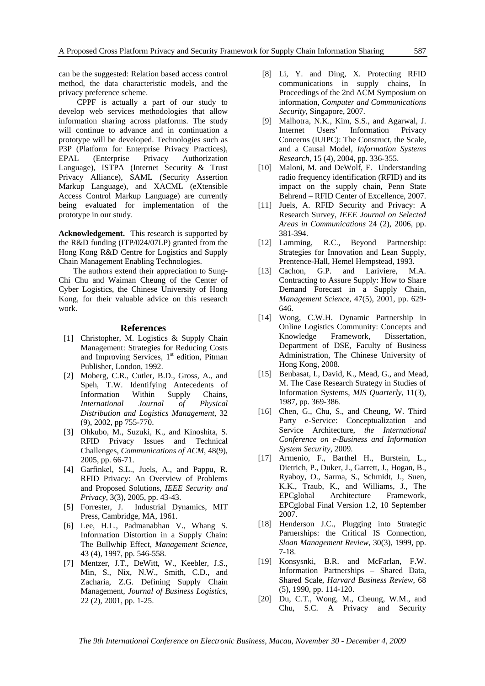can be the suggested: Relation based access control method, the data characteristic models, and the privacy preference scheme.

 CPPF is actually a part of our study to develop web services methodologies that allow information sharing across platforms. The study will continue to advance and in continuation a prototype will be developed. Technologies such as P3P (Platform for Enterprise Privacy Practices), EPAL (Enterprise Privacy Authorization Language), ISTPA (Internet Security & Trust Privacy Alliance), SAML (Security Assertion Markup Language), and XACML (eXtensible Access Control Markup Language) are currently being evaluated for implementation of the prototype in our study.

**Acknowledgement.** This research is supported by the R&D funding (ITP/024/07LP) granted from the Hong Kong R&D Centre for Logistics and Supply Chain Management Enabling Technologies.

 The authors extend their appreciation to Sung-Chi Chu and Waiman Cheung of the Center of Cyber Logistics, the Chinese University of Hong Kong, for their valuable advice on this research work.

#### **References**

- [1] Christopher, M. Logistics & Supply Chain Management: Strategies for Reducing Costs and Improving Services,  $1<sup>st</sup>$  edition, Pitman Publisher, London, 1992.
- [2] Moberg, C.R., Cutler, B.D., Gross, A., and Speh, T.W. Identifying Antecedents of Information Within Supply Chains, *International Journal of Physical Distribution and Logistics Management*, 32 (9), 2002, pp 755-770.
- [3] Ohkubo, M., Suzuki, K., and Kinoshita, S. RFID Privacy Issues and Technical Challenges, *Communications of ACM*, 48(9), 2005, pp. 66-71.
- [4] Garfinkel, S.L., Juels, A., and Pappu, R. RFID Privacy: An Overview of Problems and Proposed Solutions, *IEEE Security and Privacy*, 3(3), 2005, pp. 43-43.
- [5] Forrester, J. Industrial Dynamics, MIT Press, Cambridge, MA, 1961.
- [6] Lee, H.L., Padmanabhan V., Whang S. Information Distortion in a Supply Chain: The Bullwhip Effect, *Management Science*, 43 (4), 1997, pp. 546-558.
- [7] Mentzer, J.T., DeWitt, W., Keebler, J.S., Min, S., Nix, N.W., Smith, C.D., and Zacharia, Z.G. Defining Supply Chain Management, *Journal of Business Logistics*, 22 (2), 2001, pp. 1-25.
- [8] Li, Y. and Ding, X. Protecting RFID communications in supply chains, In Proceedings of the 2nd ACM Symposium on information, *Computer and Communications Security*, Singapore, 2007.
- [9] Malhotra, N.K., Kim, S.S., and Agarwal, J. Internet Users' Information Privacy Concerns (IUIPC): The Construct, the Scale, and a Causal Model, *Information Systems Research*, 15 (4), 2004, pp. 336-355.
- [10] Maloni, M. and DeWolf, F. Understanding radio frequency identification (RFID) and its impact on the supply chain, Penn State Behrend – RFID Center of Excellence, 2007.
- [11] Juels, A. RFID Security and Privacy: A Research Survey, *IEEE Journal on Selected Areas in Communications* 24 (2), 2006, pp. 381-394.
- [12] Lamming, R.C., Beyond Partnership: Strategies for Innovation and Lean Supply, Prentence-Hall, Hemel Hempstead, 1993.
- [13] Cachon, G.P. and Lariviere, M.A. Contracting to Assure Supply: How to Share Demand Forecast in a Supply Chain, *Management Science*, 47(5), 2001, pp. 629- 646.
- [14] Wong, C.W.H. Dynamic Partnership in Online Logistics Community: Concepts and Knowledge Framework, Dissertation, Department of DSE, Faculty of Business Administration, The Chinese University of Hong Kong, 2008.
- [15] Benbasat, I., David, K., Mead, G., and Mead, M. The Case Research Strategy in Studies of Information Systems, *MIS Quarterly*, 11(3), 1987, pp. 369-386.
- [16] Chen, G., Chu, S., and Cheung, W. Third Party e-Service: Conceptualization and Service Architecture, *the International Conference on e-Business and Information System Security*, 2009.
- [17] Armenio, F., Barthel H., Burstein, L., Dietrich, P., Duker, J., Garrett, J., Hogan, B., Ryaboy, O., Sarma, S., Schmidt, J., Suen, K.K., Traub, K., and Williams, J., The EPCglobal Architecture Framework, EPCglobal Final Version 1.2, 10 September 2007.
- [18] Henderson J.C., Plugging into Strategic Parnerships: the Critical IS Connection, *Sloan Management Review*, 30(3), 1999, pp. 7-18.
- [19] Konsysnki, B.R. and McFarlan, F.W. Information Partnerships – Shared Data, Shared Scale, *Harvard Business Review*, 68 (5), 1990, pp. 114-120.
- [20] Du, C.T., Wong, M., Cheung, W.M., and Chu, S.C. A Privacy and Security